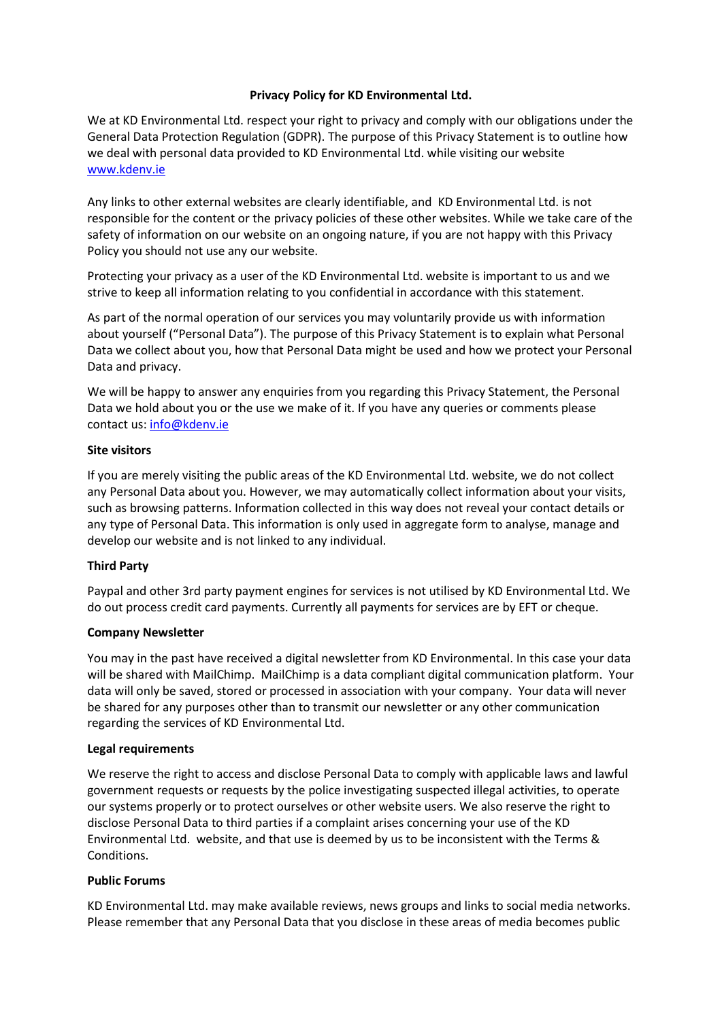## **Privacy Policy for KD Environmental Ltd.**

We at KD Environmental Ltd. respect your right to privacy and comply with our obligations under the General Data Protection Regulation (GDPR). The purpose of this Privacy Statement is to outline how we deal with personal data provided to KD Environmental Ltd. while visiting our website www.kdenv.ie

Any links to other external websites are clearly identifiable, and KD Environmental Ltd. is not responsible for the content or the privacy policies of these other websites. While we take care of the safety of information on our website on an ongoing nature, if you are not happy with this Privacy Policy you should not use any our website.

Protecting your privacy as a user of the KD Environmental Ltd. website is important to us and we strive to keep all information relating to you confidential in accordance with this statement.

As part of the normal operation of our services you may voluntarily provide us with information about yourself ("Personal Data"). The purpose of this Privacy Statement is to explain what Personal Data we collect about you, how that Personal Data might be used and how we protect your Personal Data and privacy.

We will be happy to answer any enquiries from you regarding this Privacy Statement, the Personal Data we hold about you or the use we make of it. If you have any queries or comments please contact us: info@kdenv.ie

### **Site visitors**

If you are merely visiting the public areas of the KD Environmental Ltd. website, we do not collect any Personal Data about you. However, we may automatically collect information about your visits, such as browsing patterns. Information collected in this way does not reveal your contact details or any type of Personal Data. This information is only used in aggregate form to analyse, manage and develop our website and is not linked to any individual.

## **Third Party**

Paypal and other 3rd party payment engines for services is not utilised by KD Environmental Ltd. We do out process credit card payments. Currently all payments for services are by EFT or cheque.

#### **Company Newsletter**

You may in the past have received a digital newsletter from KD Environmental. In this case your data will be shared with MailChimp. MailChimp is a data compliant digital communication platform. Your data will only be saved, stored or processed in association with your company. Your data will never be shared for any purposes other than to transmit our newsletter or any other communication regarding the services of KD Environmental Ltd.

#### **Legal requirements**

We reserve the right to access and disclose Personal Data to comply with applicable laws and lawful government requests or requests by the police investigating suspected illegal activities, to operate our systems properly or to protect ourselves or other website users. We also reserve the right to disclose Personal Data to third parties if a complaint arises concerning your use of the KD Environmental Ltd. website, and that use is deemed by us to be inconsistent with the Terms & Conditions.

#### **Public Forums**

KD Environmental Ltd. may make available reviews, news groups and links to social media networks. Please remember that any Personal Data that you disclose in these areas of media becomes public